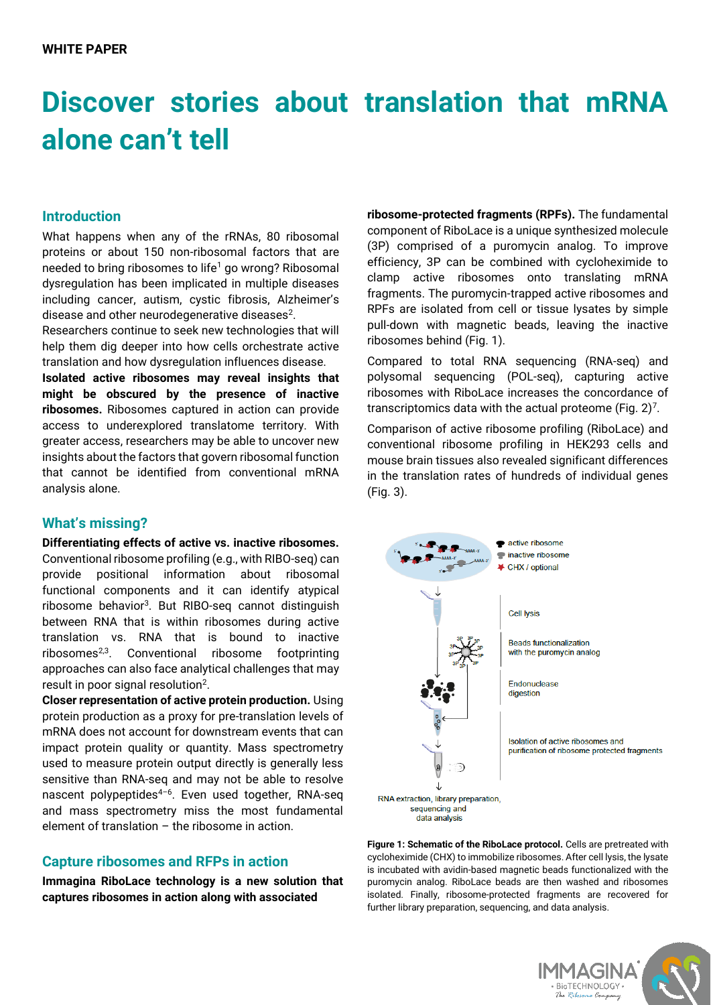# **Discover stories about translation that mRNA alone can't tell**

#### **Introduction**

What happens when any of the rRNAs, 80 ribosomal proteins or about 150 non-ribosomal factors that are needed to bring ribosomes to life<sup>1</sup> go wrong? Ribosomal dysregulation has been implicated in multiple diseases including cancer, autism, cystic fibrosis, Alzheimer's disease and other neurodegenerative diseases $^2$ .

Researchers continue to seek new technologies that will help them dig deeper into how cells orchestrate active translation and how dysregulation influences disease.

**Isolated active ribosomes may reveal insights that might be obscured by the presence of inactive ribosomes.** Ribosomes captured in action can provide access to underexplored translatome territory. With greater access, researchers may be able to uncover new insights about the factors that govern ribosomal function that cannot be identified from conventional mRNA analysis alone.

#### **What's missing?**

**Differentiating effects of active vs. inactive ribosomes.** Conventional ribosome profiling (e.g., with RIBO-seq) can provide positional information about ribosomal functional components and it can identify atypical ribosome behavior<sup>3</sup>. But RIBO-seq cannot distinguish between RNA that is within ribosomes during active translation vs. RNA that is bound to inactive ribosomes<sup>2,3</sup>. Conventional ribosome footprinting approaches can also face analytical challenges that may result in poor signal resolution<sup>2</sup>.

**Closer representation of active protein production.** Using protein production as a proxy for pre-translation levels of mRNA does not account for downstream events that can impact protein quality or quantity. Mass spectrometry used to measure protein output directly is generally less sensitive than RNA-seq and may not be able to resolve nascent polypeptides<sup>4-6</sup>. Even used together, RNA-seq and mass spectrometry miss the most fundamental element of translation – the ribosome in action.

#### **Capture ribosomes and RFPs in action**

**Immagina RiboLace technology is a new solution that captures ribosomes in action along with associated** 

**ribosome-protected fragments (RPFs).** The fundamental component of RiboLace is a unique synthesized molecule (3P) comprised of a puromycin analog. To improve efficiency, 3P can be combined with cycloheximide to clamp active ribosomes onto translating mRNA fragments. The puromycin-trapped active ribosomes and RPFs are isolated from cell or tissue lysates by simple pull-down with magnetic beads, leaving the inactive ribosomes behind (Fig. 1).

Compared to total RNA sequencing (RNA-seq) and polysomal sequencing (POL-seq), capturing active ribosomes with RiboLace increases the concordance of transcriptomics data with the actual proteome (Fig.  $2)^7$ .

Comparison of active ribosome profiling (RiboLace) and conventional ribosome profiling in HEK293 cells and mouse brain tissues also revealed significant differences in the translation rates of hundreds of individual genes  $(Fia. 3)$ .



**Figure 1: Schematic of the RiboLace protocol.** Cells are pretreated with cycloheximide (CHX) to immobilize ribosomes. After cell lysis, the lysate is incubated with avidin-based magnetic beads functionalized with the puromycin analog. RiboLace beads are then washed and ribosomes isolated. Finally, ribosome-protected fragments are recovered for further library preparation, sequencing, and data analysis.

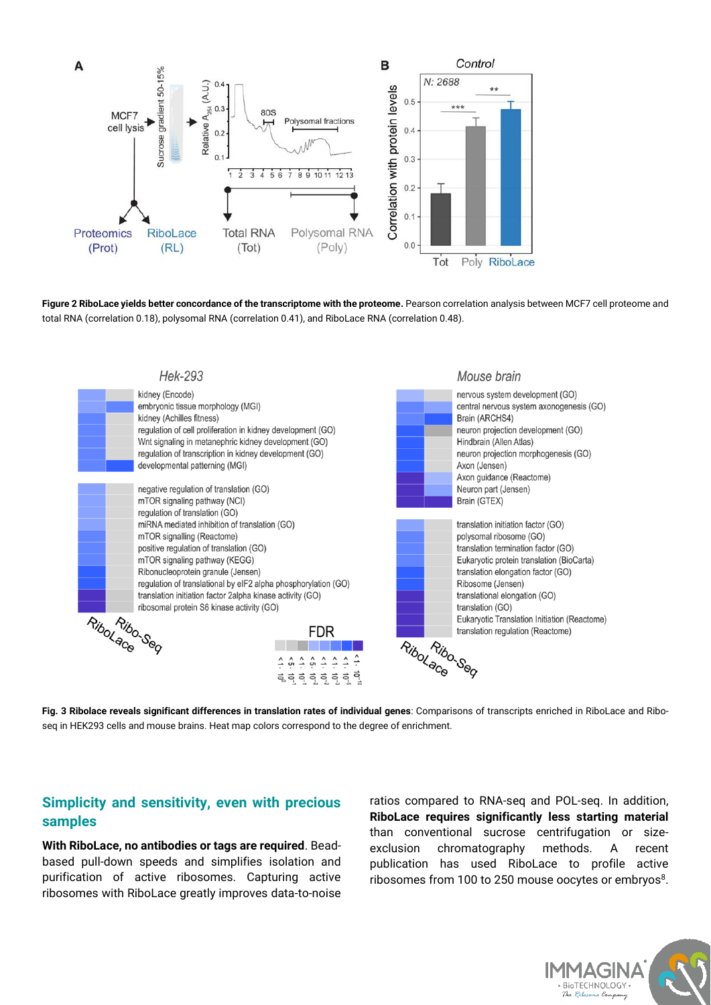

**Figure 2 RiboLace yields better concordance of the transcriptome with the proteome.** Pearson correlation analysis between MCF7 cell proteome and total RNA (correlation 0.18), polysomal RNA (correlation 0.41), and RiboLace RNA (correlation 0.48).



**Fig. 3 Ribolace reveals significant differences in translation rates of individual genes**: Comparisons of transcripts enriched in RiboLace and Riboseq in HEK293 cells and mouse brains. Heat map colors correspond to the degree of enrichment.

### **Simplicity and sensitivity, even with precious samples**

**With RiboLace, no antibodies or tags are required**. Beadbased pull-down speeds and simplifies isolation and purification of active ribosomes. Capturing active ribosomes with RiboLace greatly improves data-to-noise

ratios compared to RNA-seq and POL-seq. In addition, **RiboLace requires significantly less starting material** than conventional sucrose centrifugation or sizeexclusion chromatography methods. A recent publication has used RiboLace to profile active ribosomes from 100 to 250 mouse oocytes or embryos<sup>8</sup>.

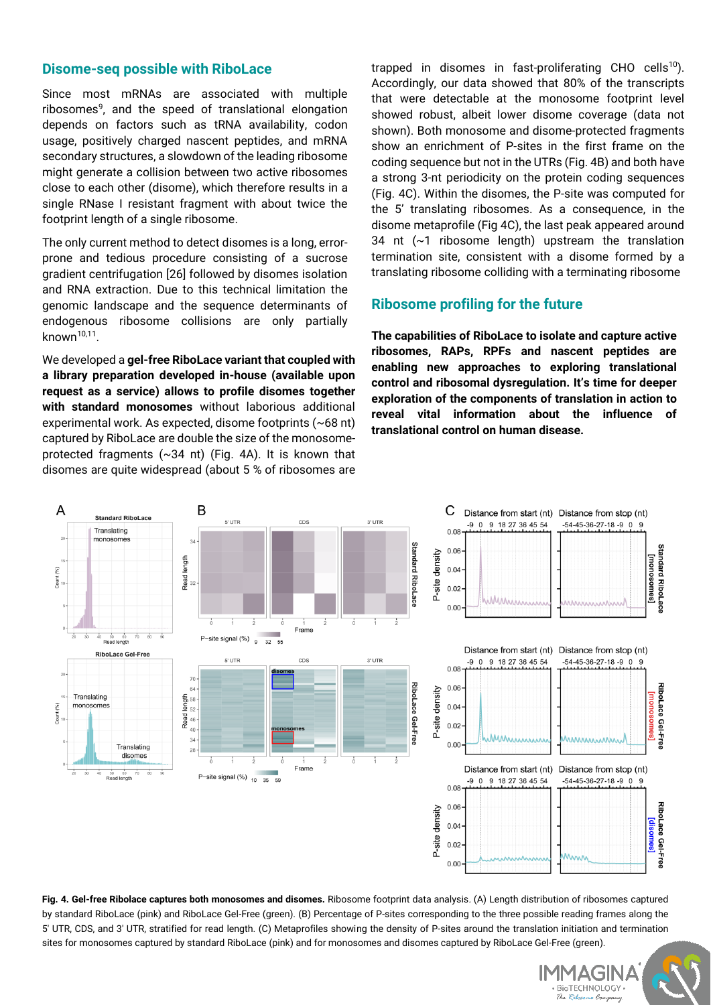#### **Disome-seq possible with RiboLace**

Since most mRNAs are associated with multiple ribosomes<sup>9</sup>, and the speed of translational elongation depends on factors such as tRNA availability, codon usage, positively charged nascent peptides, and mRNA secondary structures, a slowdown of the leading ribosome might generate a collision between two active ribosomes close to each other (disome), which therefore results in a single RNase I resistant fragment with about twice the footprint length of a single ribosome.

The only current method to detect disomes is a long, errorprone and tedious procedure consisting of a sucrose gradient centrifugation [26] followed by disomes isolation and RNA extraction. Due to this technical limitation the genomic landscape and the sequence determinants of endogenous ribosome collisions are only partially known<sup>10,11</sup>.

We developed a **gel-free RiboLace variant that coupled with a library preparation developed in-house (available upon request as a service) allows to profile disomes together with standard monosomes** without laborious additional experimental work. As expected, disome footprints (~68 nt) captured by RiboLace are double the size of the monosomeprotected fragments (~34 nt) (Fig. 4A). It is known that disomes are quite widespread (about 5 % of ribosomes are

trapped in disomes in fast-proliferating CHO cells<sup>10</sup>). Accordingly, our data showed that 80% of the transcripts that were detectable at the monosome footprint level showed robust, albeit lower disome coverage (data not shown). Both monosome and disome-protected fragments show an enrichment of P-sites in the first frame on the coding sequence but not in the UTRs (Fig. 4B) and both have a strong 3-nt periodicity on the protein coding sequences (Fig. 4C). Within the disomes, the P-site was computed for the 5' translating ribosomes. As a consequence, in the disome metaprofile (Fig 4C), the last peak appeared around 34 nt (~1 ribosome length) upstream the translation termination site, consistent with a disome formed by a translating ribosome colliding with a terminating ribosome

#### **Ribosome profiling for the future**

**The capabilities of RiboLace to isolate and capture active ribosomes, RAPs, RPFs and nascent peptides are enabling new approaches to exploring translational control and ribosomal dysregulation. It's time for deeper exploration of the components of translation in action to reveal vital information about the influence of translational control on human disease.** 



**Fig. 4. Gel-free Ribolace captures both monosomes and disomes.** Ribosome footprint data analysis. (A) Length distribution of ribosomes captured by standard RiboLace (pink) and RiboLace Gel-Free (green). (B) Percentage of P-sites corresponding to the three possible reading frames along the 5′ UTR, CDS, and 3′ UTR, stratified for read length. (C) Metaprofiles showing the density of P-sites around the translation initiation and termination sites for monosomes captured by standard RiboLace (pink) and for monosomes and disomes captured by RiboLace Gel-Free (green).

> IMMAGINA BioTECHNOLOGY  $R$   $P_{i}$ no Compi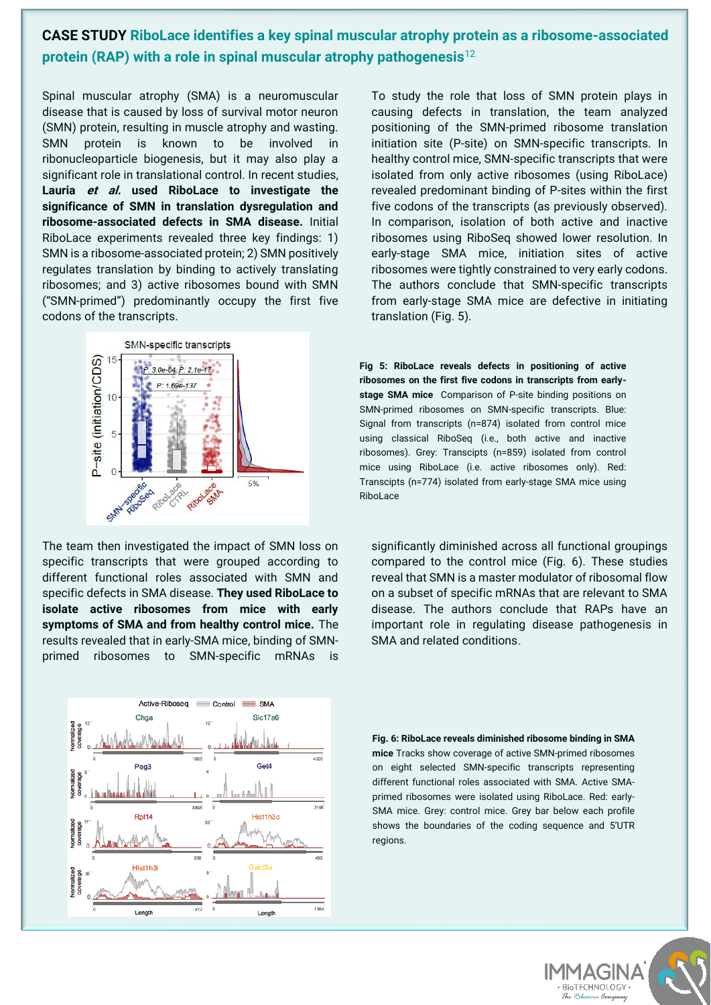## **CASE STUDY RiboLace identifies a key spinal muscular atrophy protein as a ribosome-associated protein (RAP) with a role in spinal muscular atrophy pathogenesis**<sup>12</sup>

Spinal muscular atrophy (SMA) is a neuromuscular disease that is caused by loss of survival motor neuron (SMN) protein, resulting in muscle atrophy and wasting. SMN protein is known to be involved in ribonucleoparticle biogenesis, but it may also play a significant role in translational control. In recent studies, **Lauria et al. used RiboLace to investigate the significance of SMN in translation dysregulation and ribosome-associated defects in SMA disease.** Initial RiboLace experiments revealed three key findings: 1) SMN is a ribosome-associated protein; 2) SMN positively regulates translation by binding to actively translating ribosomes; and 3) active ribosomes bound with SMN ("SMN-primed") predominantly occupy the first five codons of the transcripts.



The team then investigated the impact of SMN loss on specific transcripts that were grouped according to different functional roles associated with SMN and specific defects in SMA disease. **They used RiboLace to isolate active ribosomes from mice with early symptoms of SMA and from healthy control mice.** The results revealed that in early-SMA mice, binding of SMNprimed ribosomes to SMN-specific mRNAs is



To study the role that loss of SMN protein plays in causing defects in translation, the team analyzed positioning of the SMN-primed ribosome translation initiation site (P-site) on SMN-specific transcripts. In healthy control mice, SMN-specific transcripts that were isolated from only active ribosomes (using RiboLace) revealed predominant binding of P-sites within the first five codons of the transcripts (as previously observed). In comparison, isolation of both active and inactive ribosomes using RiboSeq showed lower resolution. In early-stage SMA mice, initiation sites of active ribosomes were tightly constrained to very early codons. The authors conclude that SMN-specific transcripts from early-stage SMA mice are defective in initiating translation (Fig. 5).

**Fig 5: RiboLace reveals defects in positioning of active ribosomes on the first five codons in transcripts from earlystage SMA mice** Comparison of P-site binding positions on SMN-primed ribosomes on SMN-specific transcripts. Blue: Signal from transcripts (n=874) isolated from control mice using classical RiboSeq (i.e., both active and inactive ribosomes). Grey: Transcipts (n=859) isolated from control mice using RiboLace (i.e. active ribosomes only). Red: Transcipts (n=774) isolated from early-stage SMA mice using RiboLace

significantly diminished across all functional groupings compared to the control mice (Fig. 6). These studies reveal that SMN is a master modulator of ribosomal flow on a subset of specific mRNAs that are relevant to SMA disease. The authors conclude that RAPs have an important role in regulating disease pathogenesis in SMA and related conditions.

**Fig. 6: RiboLace reveals diminished ribosome binding in SMA mice** Tracks show coverage of active SMN-primed ribosomes on eight selected SMN-specific transcripts representing different functional roles associated with SMA. Active SMAprimed ribosomes were isolated using RiboLace. Red: early-SMA mice. Grey: control mice. Grey bar below each profile shows the boundaries of the coding sequence and 5'UTR regions.

BioTECHNOLOGY

ne Compe

 $\mathcal{D}_{\mathbf{z}}$